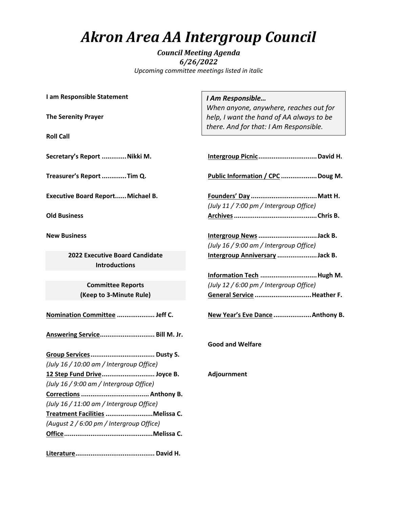## *Akron Area AA Intergroup Council*

*Council Meeting Agenda 6/26/2022 Upcoming committee meetings listed in italic*

**I am Responsible Statement**

**The Serenity Prayer**

**Roll Call**

**Secretary's Report .............Nikki M.**

**Treasurer's Report.............Tim Q.**

**Executive Board Report......Michael B.**

**Old Business** 

**New Business**

**2022 Executive Board Candidate Introductions**

> **Committee Reports (Keep to 3-Minute Rule)**

**Nomination Committee .................... Jeff C.**

**Answering Service............................. Bill M. Jr.**

**Group Services.................................. Dusty S.** *(July 16 / 10:00 am / Intergroup Office)* **12 Step Fund Drive............................ Joyce B.** *(July 16 / 9:00 am / Intergroup Office)* **Corrections.................................... Anthony B.** *(July 16 / 11:00 am / Intergroup Office)* **Treatment Facilities .........................Melissa C.** *(August 2 / 6:00 pm / Intergroup Office)* **Office...............................................Melissa C.**

**Literature.......................................... David H.**

## *I Am Responsible…*

*When anyone, anywhere, reaches out for help, I want the hand of AA always to be there. And for that: I Am Responsible.*

**Intergroup Picnic...............................David H.**

**Public Information / CPC ...................Doug M.**

**Founders' Day ...................................Matt H.** *(July 11 / 7:00 pm / Intergroup Office)* **Archives............................................Chris B.**

**Intergroup News...............................Jack B.** *(July 16 / 9:00 am / Intergroup Office)* **Intergroup Anniversary .....................Jack B.**

**Information Tech ..............................Hugh M.** *(July 12 / 6:00 pm / Intergroup Office)* **General Service ..............................Heather F.**

**New Year's Eve Dance ....................Anthony B.**

**Good and Welfare**

**Adjournment**